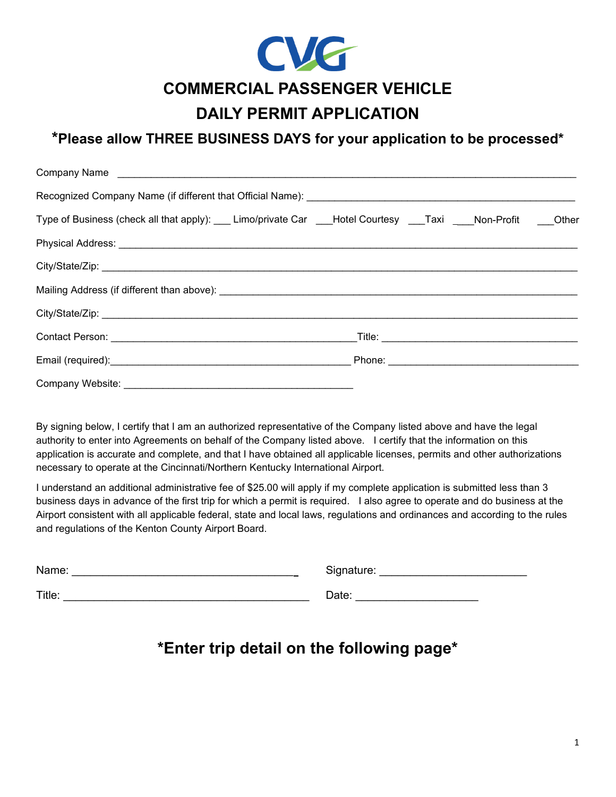

### **DAILY PERMIT APPLICATION**

### **\*Please allow THREE BUSINESS DAYS for your application to be processed\***

| Company Name                                                                                   |  |  |  |
|------------------------------------------------------------------------------------------------|--|--|--|
|                                                                                                |  |  |  |
| Type of Business (check all that apply): Limo/private Car Lettal Courtesy Taxi Non-Profit Cher |  |  |  |
|                                                                                                |  |  |  |
|                                                                                                |  |  |  |
|                                                                                                |  |  |  |
|                                                                                                |  |  |  |
|                                                                                                |  |  |  |
|                                                                                                |  |  |  |
|                                                                                                |  |  |  |

By signing below, I certify that I am an authorized representative of the Company listed above and have the legal authority to enter into Agreements on behalf of the Company listed above. I certify that the information on this application is accurate and complete, and that I have obtained all applicable licenses, permits and other authorizations necessary to operate at the Cincinnati/Northern Kentucky International Airport.

I understand an additional administrative fee of \$25.00 will apply if my complete application is submitted less than 3 business days in advance of the first trip for which a permit is required. I also agree to operate and do business at the Airport consistent with all applicable federal, state and local laws, regulations and ordinances and according to the rules and regulations of the Kenton County Airport Board.

| Name:  | Signature: |
|--------|------------|
| Title: | Date:      |

# **\*Enter trip detail on the following page\***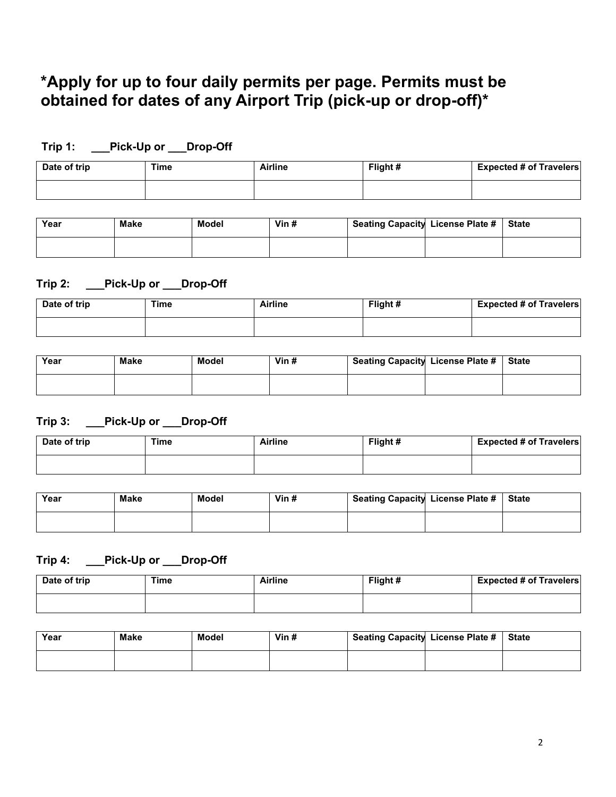# **\*Apply for up to four daily permits per page. Permits must be obtained for dates of any Airport Trip (pick-up or drop-off)\***

| Date of trip | Time | <b>Airline</b> | Flight# | <b>Expected # of Travelers</b> |
|--------------|------|----------------|---------|--------------------------------|
|              |      |                |         |                                |

| Year | <b>Make</b> | Model | Vin $#$ | Seating Capacity License Plate # | <b>State</b> |
|------|-------------|-------|---------|----------------------------------|--------------|
|      |             |       |         |                                  |              |

#### **Trip 2: \_\_\_Pick-Up or \_\_\_Drop-Off**

**Trip 1: \_\_\_Pick-Up or \_\_\_Drop-Off**

| Date of trip | Time | <b>Airline</b> | Flight # | <b>Expected # of Travelers</b> |
|--------------|------|----------------|----------|--------------------------------|
|              |      |                |          |                                |

| Year | <b>Make</b> | Model | Vin $#$ | Seating Capacity License Plate #   State |  |
|------|-------------|-------|---------|------------------------------------------|--|
|      |             |       |         |                                          |  |

#### **Trip 3: \_\_\_Pick-Up or \_\_\_Drop-Off**

| Date of trip | Time | Airline | Flight # | <b>Expected # of Travelers</b> |
|--------------|------|---------|----------|--------------------------------|
|              |      |         |          |                                |

| Year | <b>Make</b> | Model | Vin $#$ | Seating Capacity License Plate # State |  |
|------|-------------|-------|---------|----------------------------------------|--|
|      |             |       |         |                                        |  |

#### **Trip 4: \_\_\_Pick-Up or \_\_\_Drop-Off**

| Date of trip | Time | <b>Airline</b> | Flight# | <b>Expected # of Travelers</b> |
|--------------|------|----------------|---------|--------------------------------|
|              |      |                |         |                                |

| Year | <b>Make</b> | Model | Vin $#$ | Seating Capacity License Plate # | <b>State</b> |
|------|-------------|-------|---------|----------------------------------|--------------|
|      |             |       |         |                                  |              |